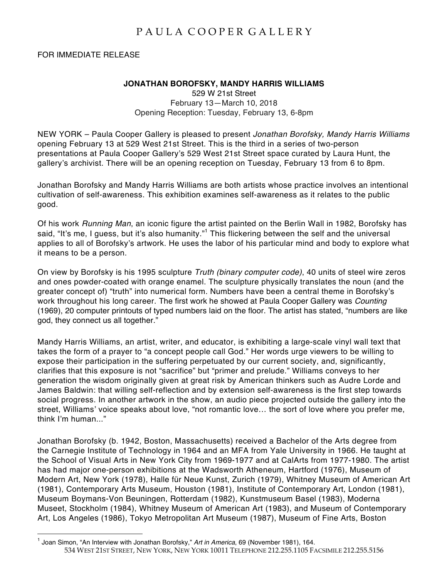## PAULA COOPER GALLERY

FOR IMMEDIATE RELEASE

## **JONATHAN BOROFSKY, MANDY HARRIS WILLIAMS**

529 W 21st Street February 13—March 10, 2018 Opening Reception: Tuesday, February 13, 6-8pm

NEW YORK – Paula Cooper Gallery is pleased to present *Jonathan Borofsky, Mandy Harris Williams* opening February 13 at 529 West 21st Street. This is the third in a series of two-person presentations at Paula Cooper Gallery's 529 West 21st Street space curated by Laura Hunt, the gallery's archivist. There will be an opening reception on Tuesday, February 13 from 6 to 8pm.

Jonathan Borofsky and Mandy Harris Williams are both artists whose practice involves an intentional cultivation of self-awareness. This exhibition examines self-awareness as it relates to the public good.

Of his work *Running Man*, an iconic figure the artist painted on the Berlin Wall in 1982, Borofsky has said, "It's me, I guess, but it's also humanity."<sup>1</sup> This flickering between the self and the universal applies to all of Borofsky's artwork. He uses the labor of his particular mind and body to explore what it means to be a person.

On view by Borofsky is his 1995 sculpture *Truth (binary computer code)*, 40 units of steel wire zeros and ones powder-coated with orange enamel. The sculpture physically translates the noun (and the greater concept of) "truth" into numerical form. Numbers have been a central theme in Borofsky's work throughout his long career. The first work he showed at Paula Cooper Gallery was *Counting*  (1969), 20 computer printouts of typed numbers laid on the floor. The artist has stated, "numbers are like god, they connect us all together."

Mandy Harris Williams, an artist, writer, and educator, is exhibiting a large-scale vinyl wall text that takes the form of a prayer to "a concept people call God." Her words urge viewers to be willing to expose their participation in the suffering perpetuated by our current society, and, significantly, clarifies that this exposure is not "sacrifice" but "primer and prelude." Williams conveys to her generation the wisdom originally given at great risk by American thinkers such as Audre Lorde and James Baldwin: that willing self-reflection and by extension self-awareness is the first step towards social progress. In another artwork in the show, an audio piece projected outside the gallery into the street, Williams' voice speaks about love, "not romantic love… the sort of love where you prefer me, think I'm human..."

Jonathan Borofsky (b. 1942, Boston, Massachusetts) received a Bachelor of the Arts degree from the Carnegie Institute of Technology in 1964 and an MFA from Yale University in 1966. He taught at the School of Visual Arts in New York City from 1969-1977 and at CalArts from 1977-1980. The artist has had major one-person exhibitions at the Wadsworth Atheneum, Hartford (1976), Museum of Modern Art, New York (1978), Halle für Neue Kunst, Zurich (1979), Whitney Museum of American Art (1981), Contemporary Arts Museum, Houston (1981), Institute of Contemporary Art, London (1981), Museum Boymans-Von Beuningen, Rotterdam (1982), Kunstmuseum Basel (1983), Moderna Museet, Stockholm (1984), Whitney Museum of American Art (1983), and Museum of Contemporary Art, Los Angeles (1986), Tokyo Metropolitan Art Museum (1987), Museum of Fine Arts, Boston

<sup>534</sup> WEST 21ST STREET, NEW YORK, NEW YORK 10011 TELEPHONE 212.255.1105 FACSIMILE 212.255.5156 <sup>1</sup> Joan Simon, "An Interview with Jonathan Borofsky," *Art in America*, <sup>69</sup> (November 1981), 164.